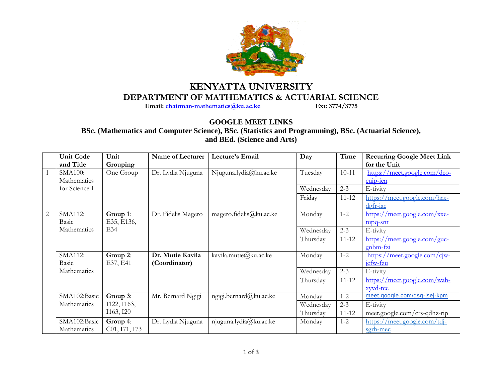

## **KENYATTA UNIVERSITY DEPARTMENT OF MATHEMATICS & ACTUARIAL SCIENCE**<br>Email: chairman-mathematics@ku.ac.ke Ext: 3774/3775

**Email:** chairman-mathematics@ku.ac.ke

## **GOOGLE MEET LINKS**

**BSc. (Mathematics and Computer Science), BSc. (Statistics and Programming), BSc. (Actuarial Science), and BEd. (Science and Arts)**

|                | <b>Unit Code</b> | Unit                       | Name of Lecturer   | Lecture's Email         | Day       | Time      | <b>Recurring Google Meet Link</b> |
|----------------|------------------|----------------------------|--------------------|-------------------------|-----------|-----------|-----------------------------------|
|                | and Title        | Grouping                   |                    |                         |           |           | for the Unit                      |
| 1              | <b>SMA100:</b>   | One Group                  | Dr. Lydia Njuguna  | Njuguna.lydia@ku.ac.ke  | Tuesday   | $10 - 11$ | https://meet.google.com/deo-      |
|                | Mathematics      |                            |                    |                         |           |           | euip-ien                          |
|                | for Science I    |                            |                    |                         | Wednesday | $2 - 3$   | E-tivity                          |
|                |                  |                            |                    |                         | Friday    | $11 - 12$ | https://meet.google.com/hrx-      |
|                |                  |                            |                    |                         |           |           | $d$ gfr-iae                       |
| $\overline{2}$ | <b>SMA112:</b>   | Group 1:                   | Dr. Fidelis Magero | magero.fidelis@ku.ac.ke | Monday    | $1 - 2$   | https://meet.google.com/xxe-      |
|                | Basic            | E35, E136,                 |                    |                         |           |           | tupq-snt                          |
|                | Mathematics      | E34                        |                    |                         | Wednesday | $2 - 3$   | E-tivity                          |
|                |                  |                            |                    |                         | Thursday  | $11 - 12$ | https://meet.google.com/guc-      |
|                |                  |                            |                    |                         |           |           | gnbm-fzi                          |
|                | SMA112:          | Group 2:                   | Dr. Mutie Kavila   | kavila.mutie@ku.ac.ke   | Monday    | $1 - 2$   | https://meet.google.com/cjw-      |
|                | Basic            | E37, E41                   | (Coordinator)      |                         |           |           | jefw-fzu                          |
|                | Mathematics      |                            |                    |                         | Wednesday | $2 - 3$   | E-tivity                          |
|                |                  |                            |                    |                         | Thursday  | $11 - 12$ | https://meet.google.com/wah-      |
|                |                  |                            |                    |                         |           |           | xyvd-tce                          |
|                | SMA102:Basic     | Group 3:                   | Mr. Bernard Ngigi  | ngigi.bernard@ku.ac.ke  | Monday    | $1 - 2$   | meet.google.com/gsg-jsej-kpm      |
|                | Mathematics      | I122, I163,                |                    |                         | Wednesday | $2 - 3$   | E-tivity                          |
|                |                  | I163, I20                  |                    |                         | Thursday  | $11 - 12$ | meet.google.com/crs-qdhz-rip      |
|                | SMA102:Basic     | Group 4:                   | Dr. Lydia Njuguna  | njuguna.lydia@ku.ac.ke  | Monday    | $1 - 2$   | https://meet.google.com/tdj-      |
|                | Mathematics      | C <sub>01</sub> , 171, 173 |                    |                         |           |           | sgrh-mec                          |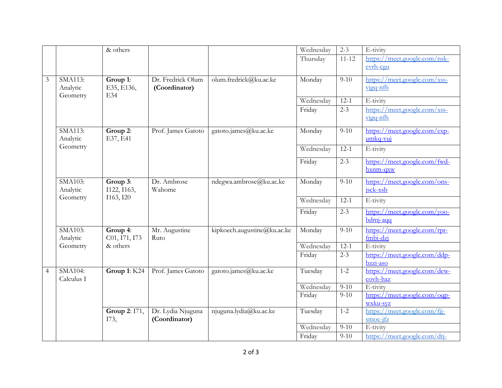|  |                |                                 | & others                              |                       |                             | Wednesday | $2 - 3$   | E-tivity                                                        |
|--|----------------|---------------------------------|---------------------------------------|-----------------------|-----------------------------|-----------|-----------|-----------------------------------------------------------------|
|  |                |                                 |                                       |                       |                             | Thursday  | $11 - 12$ | https://meet.google.com/nsk-                                    |
|  |                |                                 |                                       |                       |                             |           |           | evrh-cgu                                                        |
|  | $\mathfrak{Z}$ | SMA113:                         | Group 1:                              | Dr. Fredrick Olum     | olum.fredrick@ku.ac.ke      | Monday    | $9 - 10$  | https://meet.google.com/xss-                                    |
|  |                | Analytic<br>Geometry            | E35, E136,<br>E34                     | (Coordinator)         |                             |           |           | vigq-nfh                                                        |
|  |                |                                 |                                       |                       |                             | Wednesday | $12-1$    | E-tivity                                                        |
|  |                |                                 |                                       |                       |                             | Friday    | $2 - 3$   | https://meet.google.com/xss-<br>vigq-nfh                        |
|  |                | SMA113:<br>Analytic<br>Geometry | Group $2$ :<br>E37, E41               | Prof. James Gatoto    | gatoto.james@ku.ac.ke       | Monday    | $9-10$    | https://meet.google.com/exp-<br>umkq-vuj                        |
|  |                |                                 |                                       |                       |                             | Wednesday | $12-1$    | E-tivity                                                        |
|  |                |                                 |                                       |                       |                             | Friday    | $2 - 3$   | https://meet.google.com/fwd-<br>hxnm-qxw                        |
|  |                | SMA103:<br>Analytic<br>Geometry | Group 3:<br>I122, I163,<br>I163, I20  | Dr. Ambrose<br>Wahome | ndegwa.ambrose@ku.ac.ke     | Monday    | $9 - 10$  | https://meet.google.com/ons-<br>jsck-xsb                        |
|  |                |                                 |                                       |                       |                             | Wednesday | $12-1$    | E-tivity                                                        |
|  |                |                                 |                                       |                       |                             | Friday    | $2 - 3$   | https://meet.google.com/yoo-<br>$bdm$ <i>j</i> - $aqq$          |
|  |                | SMA103:<br>Analytic             | Group 4:<br>C01, I71, I73<br>& others | Mr. Augustine<br>Ruto | kipkoech.augustine@ku.ac.ke | Monday    | $9-10$    | https://meet.google.com/rpr-<br>$fmbi$ -dzi                     |
|  |                | Geometry                        |                                       |                       |                             | Wednesday | $12 - 1$  | E-tivity                                                        |
|  |                |                                 |                                       |                       |                             | Friday    | $2 - 3$   | https://meet.google.com/ddp-<br>$bzzi-aso$                      |
|  | $\overline{4}$ | SMA104:<br>Calculus I           | Group 1: K24                          | Prof. James Gatoto    | gatoto.james@ku.ac.ke       | Tuesday   | $1 - 2$   | https://meet.google.com/dew-<br>$\overline{\mathrm{cov}}$ h-haz |
|  |                |                                 |                                       |                       |                             | Wednesday | $9-10$    | E-tivity                                                        |
|  |                |                                 |                                       |                       |                             | Friday    | $9-10$    | https://meet.google.com/oqp-<br>wxku-syz                        |
|  |                |                                 | Group 2: 171,                         | Dr. Lydia Njuguna     | njuguna.lydia@ku.ac.ke      | Tuesday   | $1 - 2$   | https://meet.google.com/fij-                                    |
|  |                |                                 | I73,                                  | (Coordinator)         |                             |           |           | $smoc-ifz$                                                      |
|  |                |                                 |                                       |                       |                             | Wednesday | $9 - 10$  | E-tivity                                                        |
|  |                |                                 |                                       |                       |                             | Friday    | $9 - 10$  | https://meet.google.com/dtj-                                    |